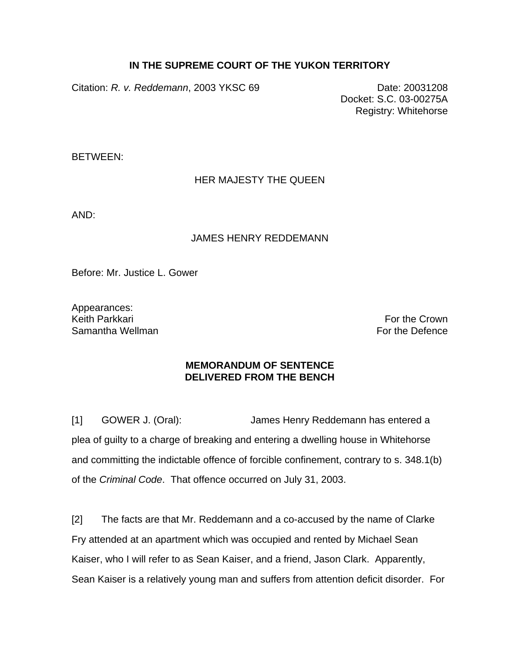## **IN THE SUPREME COURT OF THE YUKON TERRITORY**

Citation: *R. v. Reddemann*, 2003 YKSC 69 Date: 20031208

Docket: S.C. 03-00275A Registry: Whitehorse

BETWEEN:

## HER MAJESTY THE QUEEN

AND:

## JAMES HENRY REDDEMANN

Before: Mr. Justice L. Gower

Appearances:<br>Keith Parkkari Samantha Wellman For the Defence

For the Crown

## **MEMORANDUM OF SENTENCE DELIVERED FROM THE BENCH**

[1] GOWER J. (Oral): James Henry Reddemann has entered a plea of guilty to a charge of breaking and entering a dwelling house in Whitehorse and committing the indictable offence of forcible confinement, contrary to s. 348.1(b) of the *Criminal Code*. That offence occurred on July 31, 2003.

[2] The facts are that Mr. Reddemann and a co-accused by the name of Clarke Fry attended at an apartment which was occupied and rented by Michael Sean Kaiser, who I will refer to as Sean Kaiser, and a friend, Jason Clark. Apparently, Sean Kaiser is a relatively young man and suffers from attention deficit disorder. For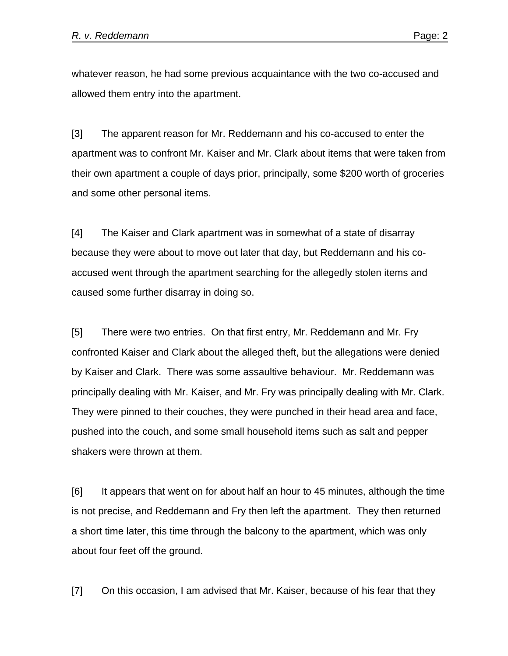whatever reason, he had some previous acquaintance with the two co-accused and allowed them entry into the apartment.

[3] The apparent reason for Mr. Reddemann and his co-accused to enter the apartment was to confront Mr. Kaiser and Mr. Clark about items that were taken from their own apartment a couple of days prior, principally, some \$200 worth of groceries and some other personal items.

[4] The Kaiser and Clark apartment was in somewhat of a state of disarray because they were about to move out later that day, but Reddemann and his coaccused went through the apartment searching for the allegedly stolen items and caused some further disarray in doing so.

[5] There were two entries. On that first entry, Mr. Reddemann and Mr. Fry confronted Kaiser and Clark about the alleged theft, but the allegations were denied by Kaiser and Clark. There was some assaultive behaviour. Mr. Reddemann was principally dealing with Mr. Kaiser, and Mr. Fry was principally dealing with Mr. Clark. They were pinned to their couches, they were punched in their head area and face, pushed into the couch, and some small household items such as salt and pepper shakers were thrown at them.

[6] It appears that went on for about half an hour to 45 minutes, although the time is not precise, and Reddemann and Fry then left the apartment. They then returned a short time later, this time through the balcony to the apartment, which was only about four feet off the ground.

[7] On this occasion, I am advised that Mr. Kaiser, because of his fear that they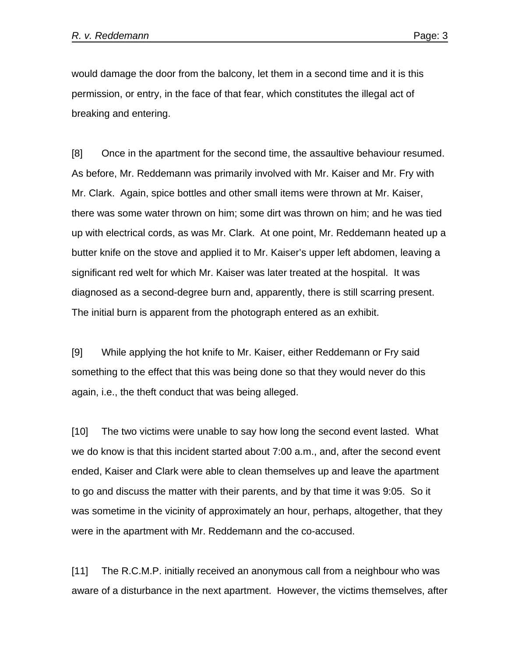would damage the door from the balcony, let them in a second time and it is this permission, or entry, in the face of that fear, which constitutes the illegal act of breaking and entering.

[8] Once in the apartment for the second time, the assaultive behaviour resumed. As before, Mr. Reddemann was primarily involved with Mr. Kaiser and Mr. Fry with Mr. Clark. Again, spice bottles and other small items were thrown at Mr. Kaiser, there was some water thrown on him; some dirt was thrown on him; and he was tied up with electrical cords, as was Mr. Clark. At one point, Mr. Reddemann heated up a butter knife on the stove and applied it to Mr. Kaiser's upper left abdomen, leaving a significant red welt for which Mr. Kaiser was later treated at the hospital. It was diagnosed as a second-degree burn and, apparently, there is still scarring present. The initial burn is apparent from the photograph entered as an exhibit.

[9] While applying the hot knife to Mr. Kaiser, either Reddemann or Fry said something to the effect that this was being done so that they would never do this again, i.e., the theft conduct that was being alleged.

[10] The two victims were unable to say how long the second event lasted. What we do know is that this incident started about 7:00 a.m., and, after the second event ended, Kaiser and Clark were able to clean themselves up and leave the apartment to go and discuss the matter with their parents, and by that time it was 9:05. So it was sometime in the vicinity of approximately an hour, perhaps, altogether, that they were in the apartment with Mr. Reddemann and the co-accused.

[11] The R.C.M.P. initially received an anonymous call from a neighbour who was aware of a disturbance in the next apartment. However, the victims themselves, after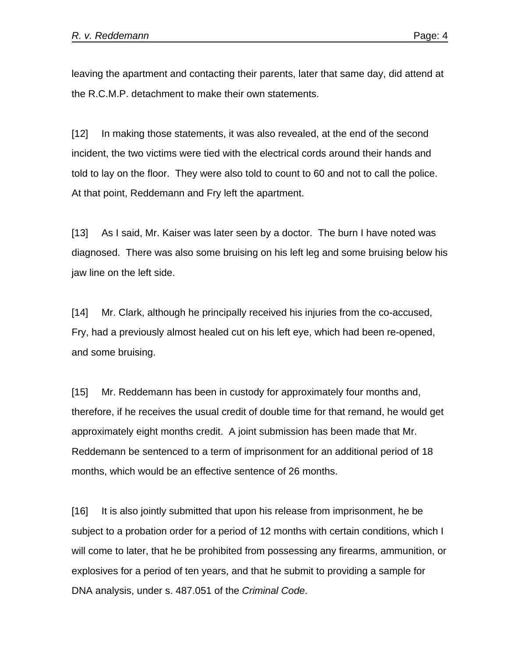leaving the apartment and contacting their parents, later that same day, did attend at the R.C.M.P. detachment to make their own statements.

[12] In making those statements, it was also revealed, at the end of the second incident, the two victims were tied with the electrical cords around their hands and told to lay on the floor. They were also told to count to 60 and not to call the police. At that point, Reddemann and Fry left the apartment.

[13] As I said, Mr. Kaiser was later seen by a doctor. The burn I have noted was diagnosed. There was also some bruising on his left leg and some bruising below his jaw line on the left side.

[14] Mr. Clark, although he principally received his injuries from the co-accused, Fry, had a previously almost healed cut on his left eye, which had been re-opened, and some bruising.

[15] Mr. Reddemann has been in custody for approximately four months and, therefore, if he receives the usual credit of double time for that remand, he would get approximately eight months credit. A joint submission has been made that Mr. Reddemann be sentenced to a term of imprisonment for an additional period of 18 months, which would be an effective sentence of 26 months.

[16] It is also jointly submitted that upon his release from imprisonment, he be subject to a probation order for a period of 12 months with certain conditions, which I will come to later, that he be prohibited from possessing any firearms, ammunition, or explosives for a period of ten years, and that he submit to providing a sample for DNA analysis, under s. 487.051 of the *Criminal Code*.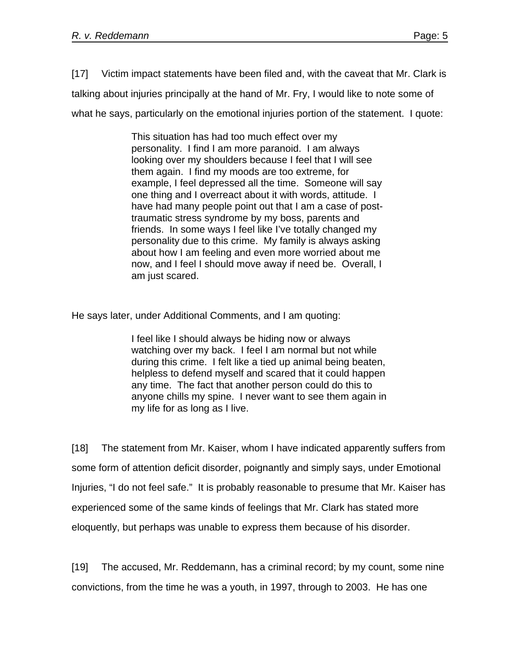[17] Victim impact statements have been filed and, with the caveat that Mr. Clark is talking about injuries principally at the hand of Mr. Fry, I would like to note some of what he says, particularly on the emotional injuries portion of the statement. I quote:

> This situation has had too much effect over my personality. I find I am more paranoid. I am always looking over my shoulders because I feel that I will see them again. I find my moods are too extreme, for example, I feel depressed all the time. Someone will say one thing and I overreact about it with words, attitude. I have had many people point out that I am a case of posttraumatic stress syndrome by my boss, parents and friends. In some ways I feel like I've totally changed my personality due to this crime. My family is always asking about how I am feeling and even more worried about me now, and I feel I should move away if need be. Overall, I am just scared.

He says later, under Additional Comments, and I am quoting:

I feel like I should always be hiding now or always watching over my back. I feel I am normal but not while during this crime. I felt like a tied up animal being beaten, helpless to defend myself and scared that it could happen any time. The fact that another person could do this to anyone chills my spine. I never want to see them again in my life for as long as I live.

[18] The statement from Mr. Kaiser, whom I have indicated apparently suffers from some form of attention deficit disorder, poignantly and simply says, under Emotional Injuries, "I do not feel safe." It is probably reasonable to presume that Mr. Kaiser has experienced some of the same kinds of feelings that Mr. Clark has stated more eloquently, but perhaps was unable to express them because of his disorder.

[19] The accused, Mr. Reddemann, has a criminal record; by my count, some nine convictions, from the time he was a youth, in 1997, through to 2003. He has one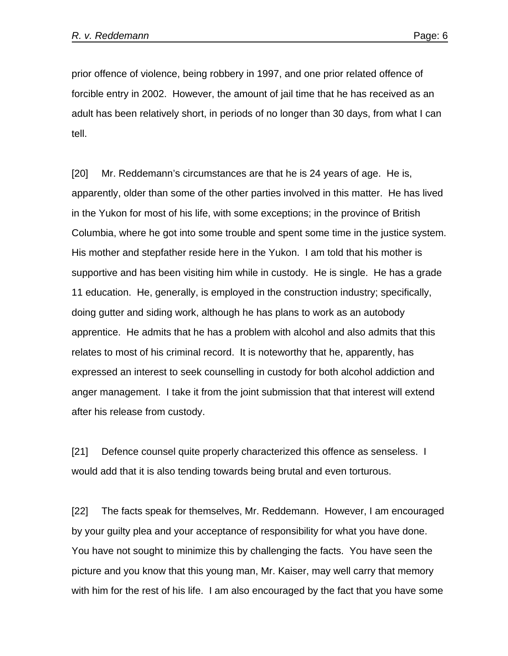prior offence of violence, being robbery in 1997, and one prior related offence of forcible entry in 2002. However, the amount of jail time that he has received as an adult has been relatively short, in periods of no longer than 30 days, from what I can tell.

[20] Mr. Reddemann's circumstances are that he is 24 years of age. He is, apparently, older than some of the other parties involved in this matter. He has lived in the Yukon for most of his life, with some exceptions; in the province of British Columbia, where he got into some trouble and spent some time in the justice system. His mother and stepfather reside here in the Yukon. I am told that his mother is supportive and has been visiting him while in custody. He is single. He has a grade 11 education. He, generally, is employed in the construction industry; specifically, doing gutter and siding work, although he has plans to work as an autobody apprentice. He admits that he has a problem with alcohol and also admits that this relates to most of his criminal record. It is noteworthy that he, apparently, has expressed an interest to seek counselling in custody for both alcohol addiction and anger management. I take it from the joint submission that that interest will extend after his release from custody.

[21] Defence counsel quite properly characterized this offence as senseless. I would add that it is also tending towards being brutal and even torturous.

[22] The facts speak for themselves, Mr. Reddemann. However, I am encouraged by your guilty plea and your acceptance of responsibility for what you have done. You have not sought to minimize this by challenging the facts. You have seen the picture and you know that this young man, Mr. Kaiser, may well carry that memory with him for the rest of his life. I am also encouraged by the fact that you have some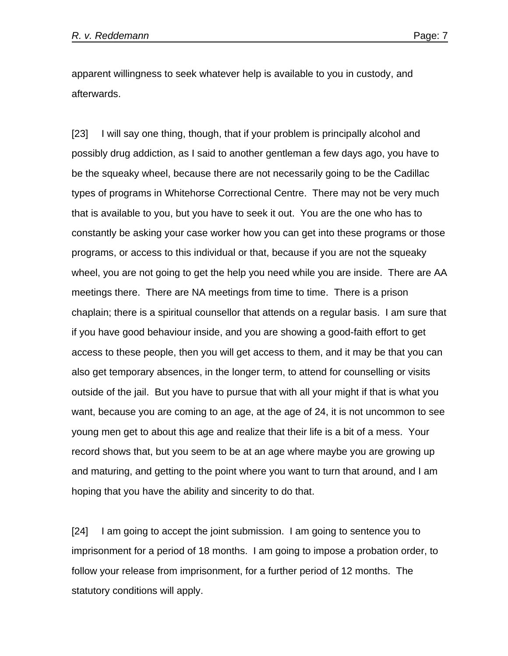apparent willingness to seek whatever help is available to you in custody, and afterwards.

[23] I will say one thing, though, that if your problem is principally alcohol and possibly drug addiction, as I said to another gentleman a few days ago, you have to be the squeaky wheel, because there are not necessarily going to be the Cadillac types of programs in Whitehorse Correctional Centre. There may not be very much that is available to you, but you have to seek it out. You are the one who has to constantly be asking your case worker how you can get into these programs or those programs, or access to this individual or that, because if you are not the squeaky wheel, you are not going to get the help you need while you are inside. There are AA meetings there. There are NA meetings from time to time. There is a prison chaplain; there is a spiritual counsellor that attends on a regular basis. I am sure that if you have good behaviour inside, and you are showing a good-faith effort to get access to these people, then you will get access to them, and it may be that you can also get temporary absences, in the longer term, to attend for counselling or visits outside of the jail. But you have to pursue that with all your might if that is what you want, because you are coming to an age, at the age of 24, it is not uncommon to see young men get to about this age and realize that their life is a bit of a mess. Your record shows that, but you seem to be at an age where maybe you are growing up and maturing, and getting to the point where you want to turn that around, and I am hoping that you have the ability and sincerity to do that.

[24] I am going to accept the joint submission. I am going to sentence you to imprisonment for a period of 18 months. I am going to impose a probation order, to follow your release from imprisonment, for a further period of 12 months. The statutory conditions will apply.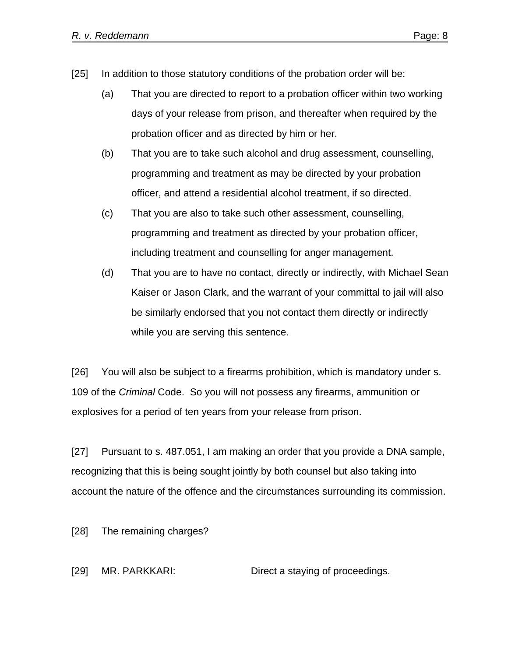- [25] In addition to those statutory conditions of the probation order will be:
	- (a) That you are directed to report to a probation officer within two working days of your release from prison, and thereafter when required by the probation officer and as directed by him or her.
	- (b) That you are to take such alcohol and drug assessment, counselling, programming and treatment as may be directed by your probation officer, and attend a residential alcohol treatment, if so directed.
	- (c) That you are also to take such other assessment, counselling, programming and treatment as directed by your probation officer, including treatment and counselling for anger management.
	- (d) That you are to have no contact, directly or indirectly, with Michael Sean Kaiser or Jason Clark, and the warrant of your committal to jail will also be similarly endorsed that you not contact them directly or indirectly while you are serving this sentence.

[26] You will also be subject to a firearms prohibition, which is mandatory under s. 109 of the *Criminal* Code. So you will not possess any firearms, ammunition or explosives for a period of ten years from your release from prison.

[27] Pursuant to s. 487.051, I am making an order that you provide a DNA sample, recognizing that this is being sought jointly by both counsel but also taking into account the nature of the offence and the circumstances surrounding its commission.

[28] The remaining charges?

[29] MR. PARKKARI: Direct a staying of proceedings.